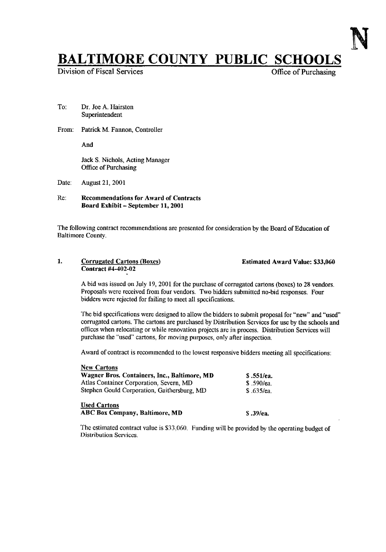## **BALTIMORE COUNTY PUBLIC SCHOOLS**<br>Division of Fiscal Services

Division of Fiscal Services

To: Dr. Joe A. Hairston Superintendent

From: Patrick M. Fannon, Controller

And

Jack S. Nichols, Acting Manager Office of Purchasing

- Date: August 21, 2001
- Re: Recommendations far Award of Contracts Board Exhibit - September 11, 2001

The following contract recommendations are presented for consideration by the Board of Education of Baltimore County.

1. Corrugated Cartons (Boxes) Estimated Award Value: \$33,060 Contract #4-402-02

A bid was issued on July 19, <sup>2001</sup> for the purchase of corrugated cartons (boxes) to <sup>28</sup> vendors . Proposals were received from four vendors. Two bidders submitted no-bid responses. Four bidders were rejected for failing to meet all specifications.

The bid specifications were designed to allow the bidders to submit proposal for "new" and "used' corrugated cartons. The cartons are purchased by Distribution Services for use by the schools and offices when relocating or while renovation projects are in process . Distribution Services will purchase the "used" cartons, for moving purposes, only after inspection.

Award of contract is recommended to the lowest responsive bidders meeting all specifications:

| <b>New Cartons</b>                           |            |
|----------------------------------------------|------------|
| Wagner Bros. Containers, Inc., Baltimore, MD | \$.551/ea. |
| Atlas Container Corporation, Severn, MD      | \$.590/ea. |
| Stephen Gould Corporation, Gaithersburg, MD  | \$.635/ea. |
| <b>Used Cartons</b>                          |            |
| <b>ABC Box Company, Baltimore, MD</b>        | S. 39/ea.  |

The estimated contract value is \$33,060, Funding will be provided by the operating budget of Distribution Services.